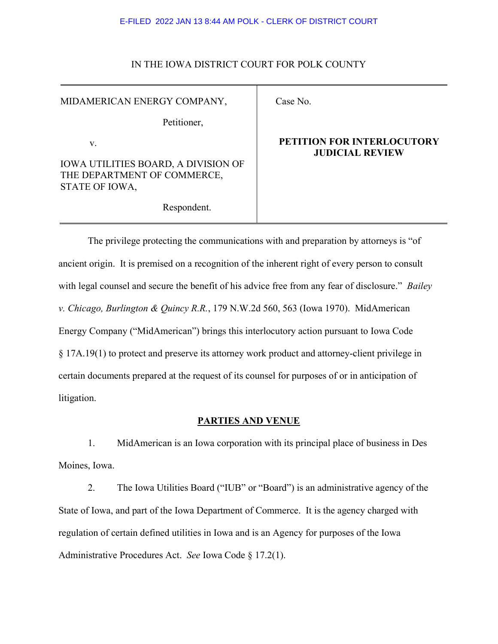### IN THE IOWA DISTRICT COURT FOR POLK COUNTY

MIDAMERICAN ENERGY COMPANY,

Petitioner,

v.

IOWA UTILITIES BOARD, A DIVISION OF THE DEPARTMENT OF COMMERCE, STATE OF IOWA,

Respondent.

# Case No.

## **PETITION FOR INTERLOCUTORY JUDICIAL REVIEW**

The privilege protecting the communications with and preparation by attorneys is "of ancient origin. It is premised on a recognition of the inherent right of every person to consult with legal counsel and secure the benefit of his advice free from any fear of disclosure." *Bailey v. Chicago, Burlington & Quincy R.R.*, 179 N.W.2d 560, 563 (Iowa 1970). MidAmerican Energy Company ("MidAmerican") brings this interlocutory action pursuant to Iowa Code § 17A.19(1) to protect and preserve its attorney work product and attorney-client privilege in certain documents prepared at the request of its counsel for purposes of or in anticipation of litigation.

## **PARTIES AND VENUE**

1. MidAmerican is an Iowa corporation with its principal place of business in Des Moines, Iowa.

2. The Iowa Utilities Board ("IUB" or "Board") is an administrative agency of the State of Iowa, and part of the Iowa Department of Commerce. It is the agency charged with regulation of certain defined utilities in Iowa and is an Agency for purposes of the Iowa Administrative Procedures Act. *See* Iowa Code § 17.2(1).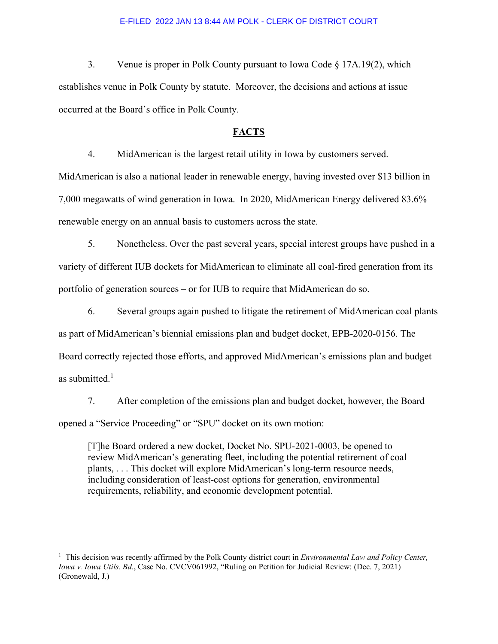3. Venue is proper in Polk County pursuant to Iowa Code § 17A.19(2), which establishes venue in Polk County by statute. Moreover, the decisions and actions at issue occurred at the Board's office in Polk County.

### **FACTS**

4. MidAmerican is the largest retail utility in Iowa by customers served.

MidAmerican is also a national leader in renewable energy, having invested over \$13 billion in 7,000 megawatts of wind generation in Iowa. In 2020, MidAmerican Energy delivered 83.6% renewable energy on an annual basis to customers across the state.

5. Nonetheless. Over the past several years, special interest groups have pushed in a variety of different IUB dockets for MidAmerican to eliminate all coal-fired generation from its portfolio of generation sources – or for IUB to require that MidAmerican do so.

6. Several groups again pushed to litigate the retirement of MidAmerican coal plants as part of MidAmerican's biennial emissions plan and budget docket, EPB-2020-0156. The Board correctly rejected those efforts, and approved MidAmerican's emissions plan and budget as submitted. $1$ 

7. After completion of the emissions plan and budget docket, however, the Board opened a "Service Proceeding" or "SPU" docket on its own motion:

[T]he Board ordered a new docket, Docket No. SPU-2021-0003, be opened to review MidAmerican's generating fleet, including the potential retirement of coal plants, . . . This docket will explore MidAmerican's long-term resource needs, including consideration of least-cost options for generation, environmental requirements, reliability, and economic development potential.

<span id="page-1-0"></span><sup>&</sup>lt;sup>1</sup> This decision was recently affirmed by the Polk County district court in *Environmental Law and Policy Center*, *Iowa v. Iowa Utils. Bd.*, Case No. CVCV061992, "Ruling on Petition for Judicial Review: (Dec. 7, 2021) (Gronewald, J.)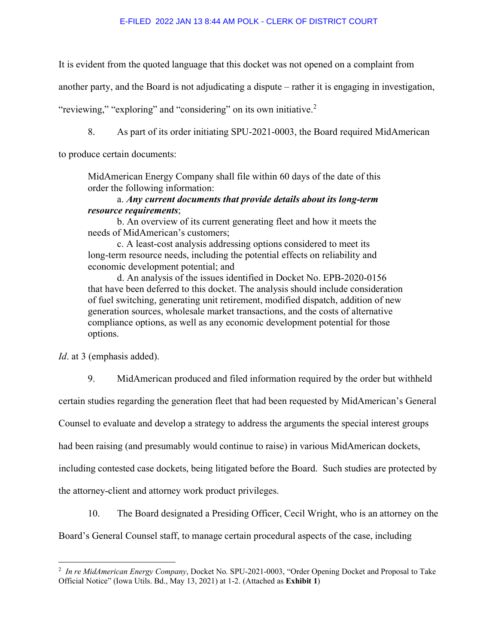It is evident from the quoted language that this docket was not opened on a complaint from

another party, and the Board is not adjudicating a dispute – rather it is engaging in investigation,

"reviewing," "exploring" and "considering" on its own initiative.<sup>[2](#page-2-0)</sup>

8. As part of its order initiating SPU-2021-0003, the Board required MidAmerican

to produce certain documents:

MidAmerican Energy Company shall file within 60 days of the date of this order the following information:

## a. *Any current documents that provide details about its long-term resource requirements*;

b. An overview of its current generating fleet and how it meets the needs of MidAmerican's customers;

c. A least-cost analysis addressing options considered to meet its long-term resource needs, including the potential effects on reliability and economic development potential; and

d. An analysis of the issues identified in Docket No. EPB-2020-0156 that have been deferred to this docket. The analysis should include consideration of fuel switching, generating unit retirement, modified dispatch, addition of new generation sources, wholesale market transactions, and the costs of alternative compliance options, as well as any economic development potential for those options.

*Id*. at 3 (emphasis added).

9. MidAmerican produced and filed information required by the order but withheld

certain studies regarding the generation fleet that had been requested by MidAmerican's General

Counsel to evaluate and develop a strategy to address the arguments the special interest groups

had been raising (and presumably would continue to raise) in various MidAmerican dockets,

including contested case dockets, being litigated before the Board. Such studies are protected by

the attorney-client and attorney work product privileges.

10. The Board designated a Presiding Officer, Cecil Wright, who is an attorney on the

Board's General Counsel staff, to manage certain procedural aspects of the case, including

<span id="page-2-0"></span><sup>2</sup> *In re MidAmerican Energy Company*, Docket No. SPU-2021-0003, "Order Opening Docket and Proposal to Take Official Notice" (Iowa Utils. Bd., May 13, 2021) at 1-2. (Attached as **Exhibit 1**)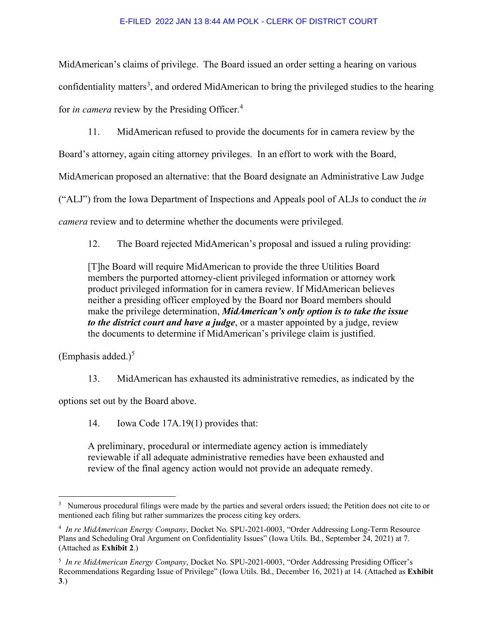MidAmerican's claims of privilege. The Board issued an order setting a hearing on various confidentiality matters<sup>[3](#page-3-0)</sup>, and ordered MidAmerican to bring the privileged studies to the hearing for *in camera* review by the Presiding Officer.[4](#page-3-1)

11. MidAmerican refused to provide the documents for in camera review by the

Board's attorney, again citing attorney privileges. In an effort to work with the Board,

MidAmerican proposed an alternative: that the Board designate an Administrative Law Judge

("ALJ") from the Iowa Department of Inspections and Appeals pool of ALJs to conduct the *in* 

*camera* review and to determine whether the documents were privileged.

12. The Board rejected MidAmerican's proposal and issued a ruling providing:

[T]he Board will require MidAmerican to provide the three Utilities Board members the purported attorney-client privileged information or attorney work product privileged information for in camera review. If MidAmerican believes neither a presiding officer employed by the Board nor Board members should make the privilege determination, *MidAmerican's only option is to take the issue to the district court and have a judge*, or a master appointed by a judge, review the documents to determine if MidAmerican's privilege claim is justified.

(Emphasis added.) $<sup>5</sup>$  $<sup>5</sup>$  $<sup>5</sup>$ </sup>

13. MidAmerican has exhausted its administrative remedies, as indicated by the

options set out by the Board above.

14. Iowa Code 17A.19(1) provides that:

A preliminary, procedural or intermediate agency action is immediately reviewable if all adequate administrative remedies have been exhausted and review of the final agency action would not provide an adequate remedy.

<span id="page-3-0"></span><sup>&</sup>lt;sup>3</sup> Numerous procedural filings were made by the parties and several orders issued; the Petition does not cite to or mentioned each filing but rather summarizes the process citing key orders.

<span id="page-3-1"></span><sup>4</sup> *In re MidAmerican Energy Company*, Docket No. SPU-2021-0003, "Order Addressing Long-Term Resource Plans and Scheduling Oral Argument on Confidentiality Issues" (Iowa Utils. Bd., September 24, 2021) at 7. (Attached as **Exhibit 2**.)

<span id="page-3-2"></span><sup>5</sup> *In re MidAmerican Energy Company*, Docket No. SPU-2021-0003, "Order Addressing Presiding Officer's Recommendations Regarding Issue of Privilege" (Iowa Utils. Bd., December 16, 2021) at 14. (Attached as **Exhibit 3**.)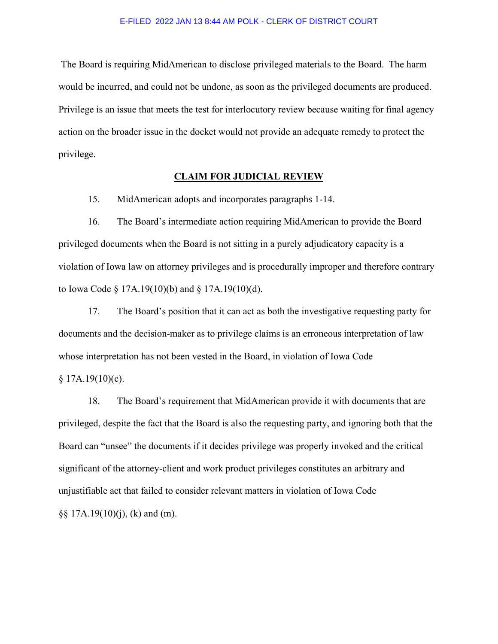The Board is requiring MidAmerican to disclose privileged materials to the Board. The harm would be incurred, and could not be undone, as soon as the privileged documents are produced. Privilege is an issue that meets the test for interlocutory review because waiting for final agency action on the broader issue in the docket would not provide an adequate remedy to protect the privilege.

## **CLAIM FOR JUDICIAL REVIEW**

15. MidAmerican adopts and incorporates paragraphs 1-14.

16. The Board's intermediate action requiring MidAmerican to provide the Board privileged documents when the Board is not sitting in a purely adjudicatory capacity is a violation of Iowa law on attorney privileges and is procedurally improper and therefore contrary to Iowa Code § 17A.19(10)(b) and § 17A.19(10)(d).

17. The Board's position that it can act as both the investigative requesting party for documents and the decision-maker as to privilege claims is an erroneous interpretation of law whose interpretation has not been vested in the Board, in violation of Iowa Code  $§ 17A.19(10)(c).$ 

18. The Board's requirement that MidAmerican provide it with documents that are privileged, despite the fact that the Board is also the requesting party, and ignoring both that the Board can "unsee" the documents if it decides privilege was properly invoked and the critical significant of the attorney-client and work product privileges constitutes an arbitrary and unjustifiable act that failed to consider relevant matters in violation of Iowa Code  $\S$ § 17A.19(10)(j), (k) and (m).